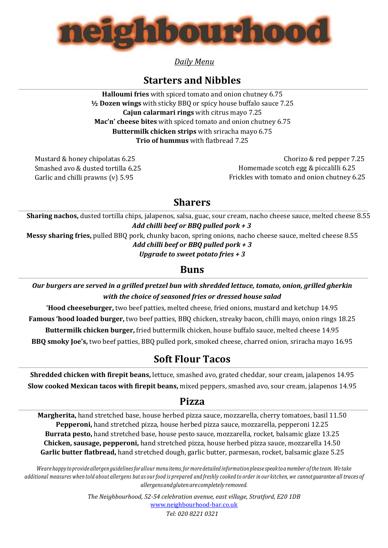

*Daily Menu*

# **Starters and Nibbles**

**Halloumi fries** with spiced tomato and onion chutney 6.75 **½ Dozen wings** with sticky BBQ or spicy house buffalo sauce 7.25 **Cajun calarmari rings** with citrus mayo 7.25 **Mac'n' cheese bites** with spiced tomato and onion chutney 6.75 **Buttermilk chicken strips** with sriracha mayo 6.75 **Trio of hummus** with flatbread 7.25

Mustard & honey chipolatas 6.25 Smashed avo & dusted tortilla 6.25 Garlic and chilli prawns (v) 5.95

 Chorizo & red pepper 7.25 Homemade scotch egg & piccalilli 6.25 Frickles with tomato and onion chutney 6.25

# **Sharers**

**Sharing nachos,** dusted tortilla chips, jalapenos, salsa, guac, sour cream, nacho cheese sauce, melted cheese 8.55 *Add chilli beef or BBQ pulled pork + 3*

**Messy sharing fries,** pulled BBQ pork, chunky bacon, spring onions, nacho cheese sauce, melted cheese 8.55 *Add chilli beef or BBQ pulled pork + 3*

*Upgrade to sweet potato fries + 3*

### **Buns**

*Our burgers are served in a grilled pretzel bun with shredded lettuce, tomato, onion, grilled gherkin with the choice of seasoned fries or dressed house salad*

**'Hood cheeseburger,** two beef patties, melted cheese, fried onions, mustard and ketchup 14.95 **Famous 'hood loaded burger,** two beef patties, BBQ chicken, streaky bacon, chilli mayo, onion rings 18.25 **Buttermilk chicken burger,** fried buttermilk chicken, house buffalo sauce, melted cheese 14.95 **BBQ smoky Joe's,** two beef patties, BBQ pulled pork, smoked cheese, charred onion, sriracha mayo 16.95

# **Soft Flour Tacos**

**Shredded chicken with firepit beans,** lettuce, smashed avo, grated cheddar, sour cream, jalapenos 14.95 **Slow cooked Mexican tacos with firepit beans,** mixed peppers, smashed avo, sour cream, jalapenos 14.95

### **Pizza**

**Margherita,** hand stretched base, house herbed pizza sauce, mozzarella, cherry tomatoes, basil 11.50 **Pepperoni,** hand stretched pizza, house herbed pizza sauce, mozzarella, pepperoni 12.25 **Burrata pesto,** hand stretched base, house pesto sauce, mozzarella, rocket, balsamic glaze 13.25 **Chicken, sausage, pepperoni,** hand stretched pizza, house herbed pizza sauce, mozzarella 14.50 **Garlic butter flatbread,** hand stretched dough, garlic butter, parmesan, rocket, balsamic glaze 5.25

Weare happy to provide allergen guidelines for allour menuitems, for more detailed information please speak to a member of the team. We take additional measures when told about allergens but as our food is prepared and freshly cooked to order in our kitchen, we cannot guarantee all traces of *allergensandglutenarecompletely removed.*

> *The Neighbourhood, 52-54 celebration avenue, east village, Stratford, E20 1DB* [www.neighbourhood-bar.co.uk](http://www.neighbourhood-bar.co.uk/) *Tel: 020 8221 0321*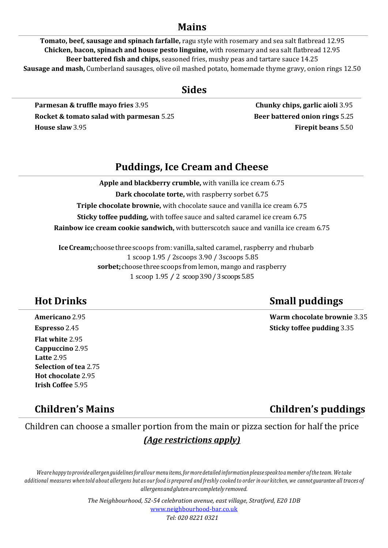### **Mains**

**Tomato, beef, sausage and spinach farfalle,** ragu style with rosemary and sea salt flatbread 12.95 **Chicken, bacon, spinach and house pesto linguine,** with rosemary and sea salt flatbread 12.95 **Beer battered fish and chips,** seasoned fries, mushy peas and tartare sauce 14.25 **Sausage and mash,** Cumberland sausages, olive oil mashed potato, homemade thyme gravy, onion rings 12.50

### **Sides**

**Parmesan & truffle mayo fries** 3.95 **Chunky chips, garlic aioli** 3.95 **Rocket & tomato salad with parmesan** 5.25 **Beer battered onion rings** 5.25 **House slaw** 3.95 **Firepit beans** 5.50

## **Puddings, Ice Cream and Cheese**

**Apple and blackberry crumble,** with vanilla ice cream 6.75 **Dark chocolate torte,** with raspberry sorbet 6.75 **Triple chocolate brownie,** with chocolate sauce and vanilla ice cream 6.75 **Sticky toffee pudding,** with toffee sauce and salted caramel ice cream 6.75 **Rainbow ice cream cookie sandwich,** with butterscotch sauce and vanilla ice cream 6.75

**IceCream;**choosethreescoops from:vanilla,salted caramel, raspberry and rhubarb 1 scoop 1.95 / 2scoops 3.90 / 3scoops 5.85 **sorbet;**choosethreescoops from lemon, mango and raspberry 1 scoop 1.95 / 2 scoop 3.90 / 3 scoops 5.85

**Flat white** 2.95 **Cappuccino** 2.95 **Latte** 2.95 **Selection of tea** 2.75 **Hot chocolate** 2.95 **Irish Coffee** 5.95

# **Hot Drinks Small puddings**

**Americano** 2.95 **Warm chocolate brownie** 3.35 **Espresso** 2.45 **Sticky toffee pudding** 3.35

**Children's Mains Children's puddings**

Children can choose a smaller portion from the main or pizza section for half the price *(Age restrictions apply)*

Weare happy to provide allergen guidelines for allour menuitems, for more detailed information please speak to a member of the team. We take additional measures when told about allergens but as our food is prepared and freshly cooked to order in our kitchen, we cannot guarantee all traces of *allergensandglutenarecompletely removed.*

> *The Neighbourhood, 52-54 celebration avenue, east village, Stratford, E20 1DB* [www.neighbourhood-bar.co.uk](http://www.neighbourhood-bar.co.uk/) *Tel: 020 8221 0321*